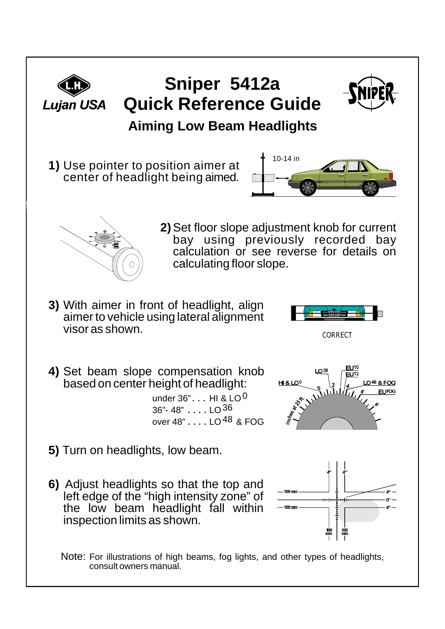